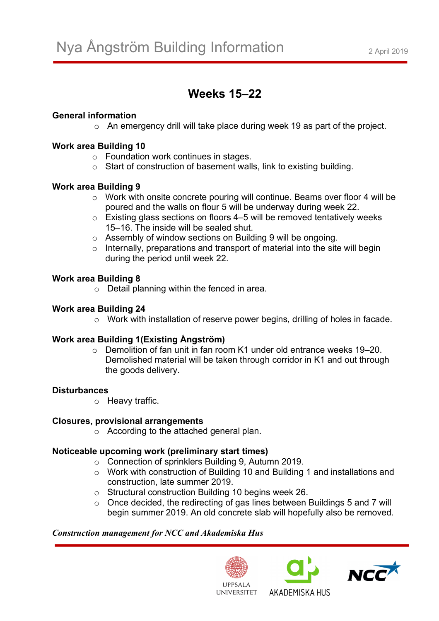# **Weeks 15–22**

# **General information**

o An emergency drill will take place during week 19 as part of the project.

# **Work area Building 10**

- o Foundation work continues in stages.
- o Start of construction of basement walls, link to existing building.

# **Work area Building 9**

- o Work with onsite concrete pouring will continue. Beams over floor 4 will be poured and the walls on flour 5 will be underway during week 22.
- o Existing glass sections on floors 4–5 will be removed tentatively weeks 15–16. The inside will be sealed shut.
- o Assembly of window sections on Building 9 will be ongoing.
- $\circ$  Internally, preparations and transport of material into the site will begin during the period until week 22.

## **Work area Building 8**

 $\circ$  Detail planning within the fenced in area.

# **Work area Building 24**

o Work with installation of reserve power begins, drilling of holes in facade.

# **Work area Building 1(Existing Ångström)**

o Demolition of fan unit in fan room K1 under old entrance weeks 19–20. Demolished material will be taken through corridor in K1 and out through the goods delivery.

## **Disturbances**

o Heavy traffic.

## **Closures, provisional arrangements**

o According to the attached general plan.

## **Noticeable upcoming work (preliminary start times)**

- o Connection of sprinklers Building 9, Autumn 2019.
- o Work with construction of Building 10 and Building 1 and installations and construction, late summer 2019.
- o Structural construction Building 10 begins week 26.
- o Once decided, the redirecting of gas lines between Buildings 5 and 7 will begin summer 2019. An old concrete slab will hopefully also be removed.

## *Construction management for NCC and Akademiska Hus*